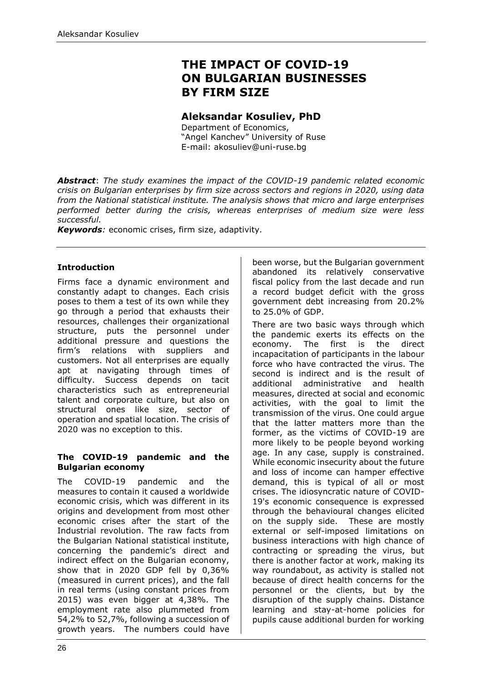# **THE IMPACT OF COVID-19 ON BULGARIAN BUSINESSES BY FIRM SIZE**

# **Aleksandar Kosuliev, PhD**

Department of Economics, "Angel Kanchev" University of Ruse E-mail: akosuliev@uni-ruse.bg

*Abstract*: *The study examines the impact of the COVID-19 pandemic related economic crisis on Bulgarian enterprises by firm size across sectors and regions in 2020, using data from the National statistical institute. The analysis shows that micro and large enterprises performed better during the crisis, whereas enterprises of medium size were less successful.*

*Keywords:* economic crises, firm size, adaptivity*.*

## **Introduction**

Firms face a dynamic environment and constantly adapt to changes. Each crisis poses to them a test of its own while they go through a period that exhausts their resources, challenges their organizational structure, puts the personnel under additional pressure and questions the firm's relations with suppliers and customers. Not all enterprises are equally apt at navigating through times of difficulty. Success depends on tacit characteristics such as entrepreneurial talent and corporate culture, but also on structural ones like size, sector of operation and spatial location. The crisis of 2020 was no exception to this.

#### **The COVID-19 pandemic and the Bulgarian economy**

The COVID-19 pandemic and the measures to contain it caused a worldwide economic crisis, which was different in its origins and development from most other economic crises after the start of the Industrial revolution. The raw facts from the Bulgarian National statistical institute, concerning the pandemic's direct and indirect effect on the Bulgarian economy, show that in 2020 GDP fell by 0,36% (measured in current prices), and the fall in real terms (using constant prices from 2015) was even bigger at 4,38%. The employment rate also plummeted from 54,2% to 52,7%, following a succession of growth years. The numbers could have been worse, but the Bulgarian government abandoned its relatively conservative fiscal policy from the last decade and run a record budget deficit with the gross government debt increasing from 20.2% to 25.0% of GDP.

There are two basic ways through which the pandemic exerts its effects on the economy. The first is the direct incapacitation of participants in the labour force who have contracted the virus. The second is indirect and is the result of additional administrative and health measures, directed at social and economic activities, with the goal to limit the transmission of the virus. One could argue that the latter matters more than the former, as the victims of COVID-19 are more likely to be people beyond working age. In any case, supply is constrained. While economic insecurity about the future and loss of income can hamper effective demand, this is typical of all or most crises. The idiosyncratic nature of COVID-19's economic consequence is expressed through the behavioural changes elicited on the supply side. These are mostly external or self-imposed limitations on business interactions with high chance of contracting or spreading the virus, but there is another factor at work, making its way roundabout, as activity is stalled not because of direct health concerns for the personnel or the clients, but by the disruption of the supply chains. Distance learning and stay-at-home policies for pupils cause additional burden for working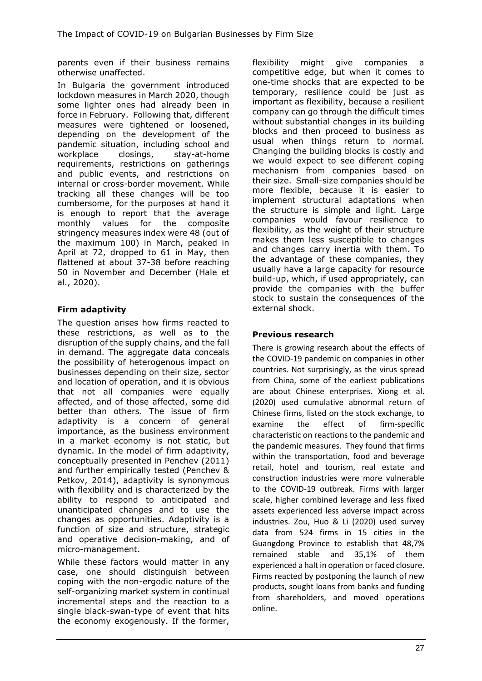parents even if their business remains otherwise unaffected.

In Bulgaria the government introduced lockdown measures in March 2020, though some lighter ones had already been in force in February. Following that, different measures were tightened or loosened, depending on the development of the pandemic situation, including school and workplace closings, stay-at-home requirements, restrictions on gatherings and public events, and restrictions on internal or cross-border movement. While tracking all these changes will be too cumbersome, for the purposes at hand it is enough to report that the average monthly values for the composite stringency measures index were 48 (out of the maximum 100) in March, peaked in April at 72, dropped to 61 in May, then flattened at about 37-38 before reaching 50 in November and December (Hale et al., 2020).

# **Firm adaptivity**

The question arises how firms reacted to these restrictions, as well as to the disruption of the supply chains, and the fall in demand. The aggregate data conceals the possibility of heterogenous impact on businesses depending on their size, sector and location of operation, and it is obvious that not all companies were equally affected, and of those affected, some did better than others. The issue of firm adaptivity is a concern of general importance, as the business environment in a market economy is not static, but dynamic. In the model of firm adaptivity, conceptually presented in Penchev (2011) and further empirically tested (Penchev & Petkov, 2014), adaptivity is synonymous with flexibility and is characterized by the ability to respond to anticipated and unanticipated changes and to use the changes as opportunities. Adaptivity is a function of size and structure, strategic and operative decision-making, and of micro-management.

While these factors would matter in any case, one should distinguish between coping with the non-ergodic nature of the self-organizing market system in continual incremental steps and the reaction to a single black-swan-type of event that hits the economy exogenously. If the former, flexibility might give companies a competitive edge, but when it comes to one-time shocks that are expected to be temporary, resilience could be just as important as flexibility, because a resilient company can go through the difficult times without substantial changes in its building blocks and then proceed to business as usual when things return to normal. Changing the building blocks is costly and we would expect to see different coping mechanism from companies based on their size. Small-size companies should be more flexible, because it is easier to implement structural adaptations when the structure is simple and light. Large companies would favour resilience to flexibility, as the weight of their structure makes them less susceptible to changes and changes carry inertia with them. To the advantage of these companies, they usually have a large capacity for resource build-up, which, if used appropriately, can provide the companies with the buffer stock to sustain the consequences of the external shock.

## **Previous research**

There is growing research about the effects of the COVID-19 pandemic on companies in other countries. Not surprisingly, as the virus spread from China, some of the earliest publications are about Chinese enterprises. Xiong et al. (2020) used cumulative abnormal return of Chinese firms, listed on the stock exchange, to examine the effect of firm-specific characteristic on reactions to the pandemic and the pandemic measures. They found that firms within the transportation, food and beverage retail, hotel and tourism, real estate and construction industries were more vulnerable to the COVID-19 outbreak. Firms with larger scale, higher combined leverage and less fixed assets experienced less adverse impact across industries. Zou, Huo & Li (2020) used survey data from 524 firms in 15 cities in the Guangdong Province to establish that 48,7% remained stable and 35,1% of them experienced a halt in operation or faced closure. Firms reacted by postponing the launch of new products, sought loans from banks and funding from shareholders, and moved operations online.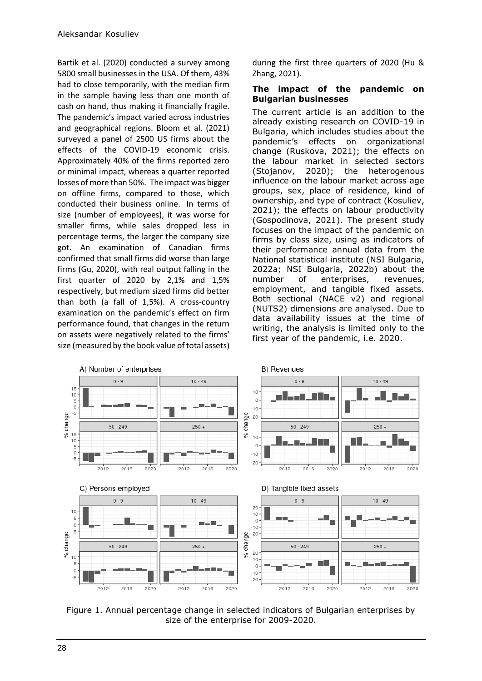Bartik et al. (2020) conducted a survey among 5800 small businesses in the USA. Of them, 43% had to close temporarily, with the median firm in the sample having less than one month of cash on hand, thus making it financially fragile. The pandemic's impact varied across industries and geographical regions. Bloom et al. (2021) surveyed a panel of 2500 US firms about the effects of the COVID-19 economic crisis. Approximately 40% of the firms reported zero or minimal impact, whereas a quarter reported losses of more than 50%. The impact was bigger on offline firms, compared to those, which conducted their business online. In terms of size (number of employees), it was worse for smaller firms, while sales dropped less in percentage terms, the larger the company size got. An examination of Canadian firms confirmed that small firms did worse than large firms (Gu, 2020), with real output falling in the first quarter of 2020 by 2,1% and 1,5% respectively, but medium sized firms did better than both (a fall of 1,5%). A cross-country examination on the pandemic's effect on firm performance found, that changes in the return on assets were negatively related to the firms' size (measured by the book value of total assets)

during the first three quarters of 2020 (Hu & Zhang, 2021).

#### **The impact of the pandemic on Bulgarian businesses**

The current article is an addition to the already existing research on COVID-19 in Bulgaria, which includes studies about the pandemic's effects on organizational change (Ruskova, 2021); the effects on the labour market in selected sectors (Stojanov, 2020); the heterogenous influence on the labour market across age groups, sex, place of residence, kind of ownership, and type of contract (Kosuliev, 2021); the effects on labour productivity (Gospodinova, 2021). The present study focuses on the impact of the pandemic on firms by class size, using as indicators of their performance annual data from the National statistical institute (NSI Bulgaria, 2022a; NSI Bulgaria, 2022b) about the number of enterprises, revenues, employment, and tangible fixed assets. Both sectional (NACE v2) and regional (NUTS2) dimensions are analysed. Due to data availability issues at the time of writing, the analysis is limited only to the first year of the pandemic, i.e. 2020.



Figure 1. Annual percentage change in selected indicators of Bulgarian enterprises by size of the enterprise for 2009-2020.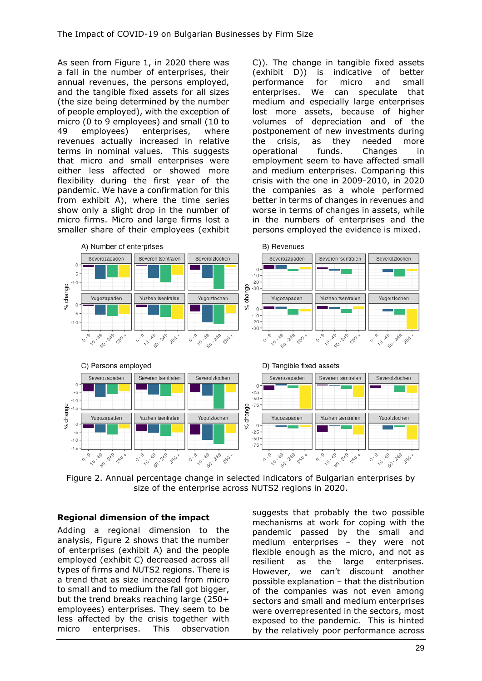As seen from Figure 1, in 2020 there was a fall in the number of enterprises, their annual revenues, the persons employed, and the tangible fixed assets for all sizes (the size being determined by the number of people employed), with the exception of micro (0 to 9 employees) and small (10 to 49 employees) enterprises, where revenues actually increased in relative terms in nominal values. This suggests that micro and small enterprises were either less affected or showed more flexibility during the first year of the pandemic. We have a confirmation for this from exhibit A), where the time series show only a slight drop in the number of micro firms. Micro and large firms lost a smaller share of their employees (exhibit C)). The change in tangible fixed assets (exhibit D)) is indicative of better performance for micro and small enterprises. We can speculate that medium and especially large enterprises lost more assets, because of higher volumes of depreciation and of the postponement of new investments during the crisis, as they needed more operational funds. Changes in employment seem to have affected small and medium enterprises. Comparing this crisis with the one in 2009-2010, in 2020 the companies as a whole performed better in terms of changes in revenues and worse in terms of changes in assets, while in the numbers of enterprises and the persons employed the evidence is mixed.



Figure 2. Annual percentage change in selected indicators of Bulgarian enterprises by size of the enterprise across NUTS2 regions in 2020.

# **Regional dimension of the impact**

Adding a regional dimension to the analysis, Figure 2 shows that the number of enterprises (exhibit A) and the people employed (exhibit C) decreased across all types of firms and NUTS2 regions. There is a trend that as size increased from micro to small and to medium the fall got bigger, but the trend breaks reaching large (250+ employees) enterprises. They seem to be less affected by the crisis together with micro enterprises. This observation

suggests that probably the two possible mechanisms at work for coping with the pandemic passed by the small and medium enterprises – they were not flexible enough as the micro, and not as resilient as the large enterprises. However, we can't discount another possible explanation – that the distribution of the companies was not even among sectors and small and medium enterprises were overrepresented in the sectors, most exposed to the pandemic. This is hinted by the relatively poor performance across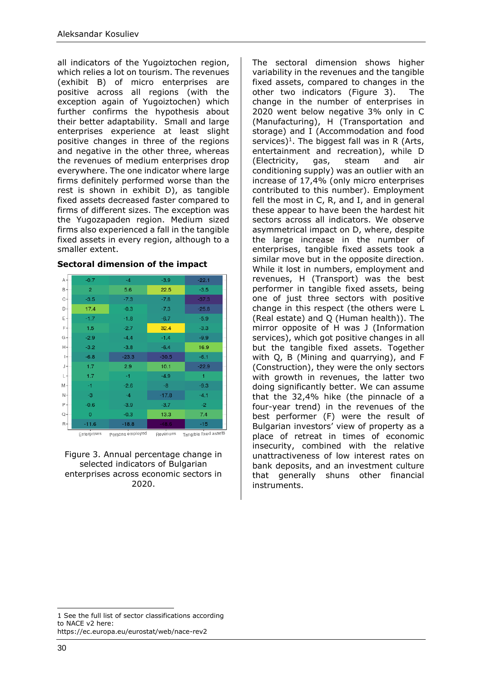all indicators of the Yugoiztochen region, which relies a lot on tourism. The revenues (exhibit B) of micro enterprises are positive across all regions (with the exception again of Yugoiztochen) which further confirms the hypothesis about their better adaptability. Small and large enterprises experience at least slight positive changes in three of the regions and negative in the other three, whereas the revenues of medium enterprises drop everywhere. The one indicator where large firms definitely performed worse than the rest is shown in exhibit D), as tangible fixed assets decreased faster compared to firms of different sizes. The exception was the Yugozapaden region. Medium sized firms also experienced a fall in the tangible fixed assets in every region, although to a smaller extent.

| A-    | $-0.7$         | $-4$       | $-3.9$  | $-22.1$                                                               |
|-------|----------------|------------|---------|-----------------------------------------------------------------------|
| $B +$ | $\overline{2}$ | 5.6        | 22.5    | $-3.5$                                                                |
| $C +$ | $-3.5$         | $-7.3$     | $-7.8$  | $-37.3$                                                               |
| D-    | 17.4           | $-0.3$     | $-7.3$  | $-25.8$                                                               |
| Εł    | $-1.7$         | $-1.8$     | $-6.7$  | $-5.9$                                                                |
| F+    | 1.5            | $-2.7$     | 32.4    | $-3.3$                                                                |
| $G +$ | $-2.9$         | $-4.4$     | $-1.4$  | $-9.9$                                                                |
| н÷    | $-3.2$         | $-3.8$     | $-6.4$  | 16.9                                                                  |
| н     | $-6.8$         | $-23.3$    | $-30.5$ | $-6.1$                                                                |
| J+    | 1.7            | 2.9        | 10.1    | $-22.9$                                                               |
| ι÷    | 1.7            | $-1$       | $-4.9$  | 1                                                                     |
| M-    | -1             | $-2.6$     | $-8$    | $-9.3$                                                                |
| $N +$ | -3             | $-4$       | $-17.8$ | $-4.1$                                                                |
| P-    | $-0.6$         | $-3.9$     | $-3.7$  | $-2$                                                                  |
| $Q +$ | $\mathbf 0$    | $-0.3$     | 13.3    | 7.4                                                                   |
| R-    | $-11.6$        | $-18.8$    | $-48.6$ | $-15$                                                                 |
|       |                | أمصند دادر |         | $\frac{1}{2}$ $\frac{1}{2}$ $\frac{1}{2}$ $\frac{1}{2}$ $\frac{1}{2}$ |

#### **Sectoral dimension of the impact**

Enterprises persons employed Revenues Tangible fixed assets

Figure 3. Annual percentage change in selected indicators of Bulgarian enterprises across economic sectors in 2020.

The sectoral dimension shows higher variability in the revenues and the tangible fixed assets, compared to changes in the other two indicators (Figure 3). The change in the number of enterprises in 2020 went below negative 3% only in C (Manufacturing), H (Transportation and storage) and I (Accommodation and food services)<sup>1</sup>. The biggest fall was in R (Arts, entertainment and recreation), while D (Electricity, gas, steam and air conditioning supply) was an outlier with an increase of 17,4% (only micro enterprises contributed to this number). Employment fell the most in C, R, and I, and in general these appear to have been the hardest hit sectors across all indicators. We observe asymmetrical impact on D, where, despite the large increase in the number of enterprises, tangible fixed assets took a similar move but in the opposite direction. While it lost in numbers, employment and revenues, H (Transport) was the best performer in tangible fixed assets, being one of just three sectors with positive change in this respect (the others were L (Real estate) and Q (Human health)). The mirror opposite of H was J (Information services), which got positive changes in all but the tangible fixed assets. Together with Q, B (Mining and quarrying), and F (Construction), they were the only sectors with growth in revenues, the latter two doing significantly better. We can assume that the 32,4% hike (the pinnacle of a four-year trend) in the revenues of the best performer (F) were the result of Bulgarian investors' view of property as a place of retreat in times of economic insecurity, combined with the relative unattractiveness of low interest rates on bank deposits, and an investment culture that generally shuns other financial instruments.

<sup>1</sup> See the full list of sector classifications according to NACE v2 here: https://ec.europa.eu/eurostat/web/nace-rev2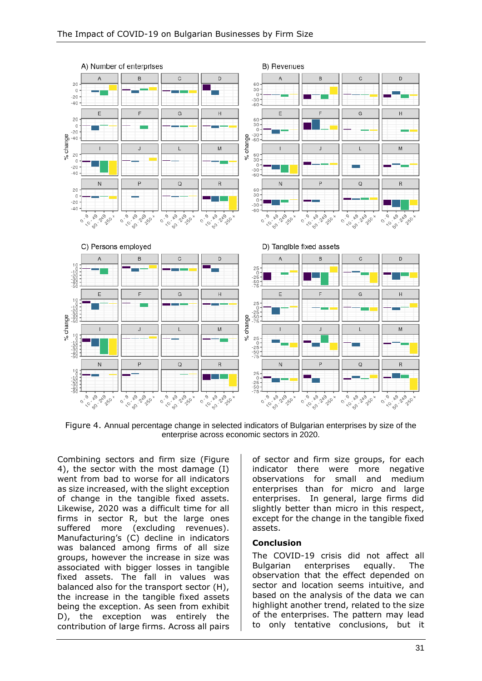

Figure 4. Annual percentage change in selected indicators of Bulgarian enterprises by size of the enterprise across economic sectors in 2020.

Combining sectors and firm size (Figure 4), the sector with the most damage (I) went from bad to worse for all indicators as size increased, with the slight exception of change in the tangible fixed assets. Likewise, 2020 was a difficult time for all firms in sector R, but the large ones suffered more (excluding revenues). Manufacturing's (C) decline in indicators was balanced among firms of all size groups, however the increase in size was associated with bigger losses in tangible fixed assets. The fall in values was balanced also for the transport sector (H), the increase in the tangible fixed assets being the exception. As seen from exhibit D), the exception was entirely the contribution of large firms. Across all pairs

of sector and firm size groups, for each indicator there were more negative observations for small and medium enterprises than for micro and large enterprises. In general, large firms did slightly better than micro in this respect, except for the change in the tangible fixed assets.

#### **Conclusion**

The COVID-19 crisis did not affect all Bulgarian enterprises equally. The observation that the effect depended on sector and location seems intuitive, and based on the analysis of the data we can highlight another trend, related to the size of the enterprises. The pattern may lead to only tentative conclusions, but it